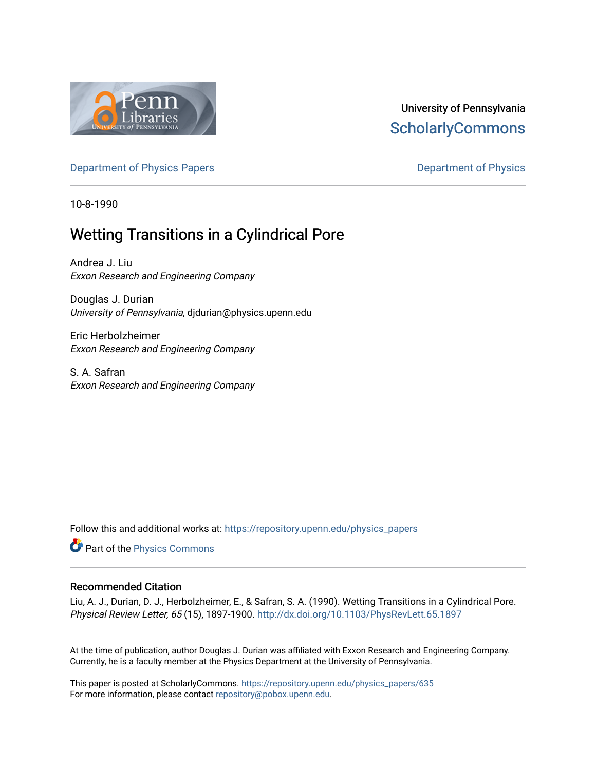

## University of Pennsylvania **ScholarlyCommons**

[Department of Physics Papers](https://repository.upenn.edu/physics_papers) **Department of Physics** 

10-8-1990

# Wetting Transitions in a Cylindrical Pore

Andrea J. Liu Exxon Research and Engineering Company

Douglas J. Durian University of Pennsylvania, djdurian@physics.upenn.edu

Eric Herbolzheimer Exxon Research and Engineering Company

S. A. Safran Exxon Research and Engineering Company

Follow this and additional works at: [https://repository.upenn.edu/physics\\_papers](https://repository.upenn.edu/physics_papers?utm_source=repository.upenn.edu%2Fphysics_papers%2F635&utm_medium=PDF&utm_campaign=PDFCoverPages)

Part of the [Physics Commons](http://network.bepress.com/hgg/discipline/193?utm_source=repository.upenn.edu%2Fphysics_papers%2F635&utm_medium=PDF&utm_campaign=PDFCoverPages)

#### Recommended Citation

Liu, A. J., Durian, D. J., Herbolzheimer, E., & Safran, S. A. (1990). Wetting Transitions in a Cylindrical Pore. Physical Review Letter, 65 (15), 1897-1900.<http://dx.doi.org/10.1103/PhysRevLett.65.1897>

At the time of publication, author Douglas J. Durian was affiliated with Exxon Research and Engineering Company. Currently, he is a faculty member at the Physics Department at the University of Pennsylvania.

This paper is posted at ScholarlyCommons. [https://repository.upenn.edu/physics\\_papers/635](https://repository.upenn.edu/physics_papers/635)  For more information, please contact [repository@pobox.upenn.edu.](mailto:repository@pobox.upenn.edu)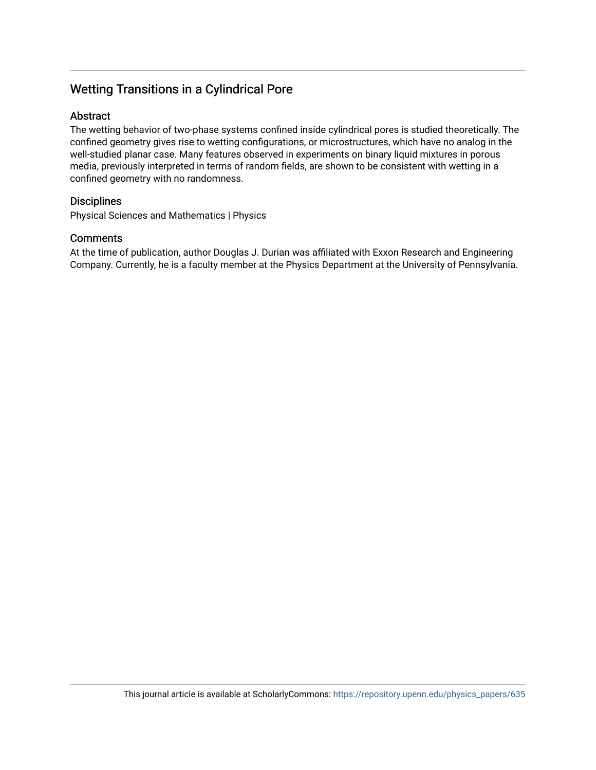## Wetting Transitions in a Cylindrical Pore

#### Abstract

The wetting behavior of two-phase systems confined inside cylindrical pores is studied theoretically. The confined geometry gives rise to wetting configurations, or microstructures, which have no analog in the well-studied planar case. Many features observed in experiments on binary liquid mixtures in porous media, previously interpreted in terms of random fields, are shown to be consistent with wetting in a confined geometry with no randomness.

### **Disciplines**

Physical Sciences and Mathematics | Physics

### **Comments**

At the time of publication, author Douglas J. Durian was affiliated with Exxon Research and Engineering Company. Currently, he is a faculty member at the Physics Department at the University of Pennsylvania.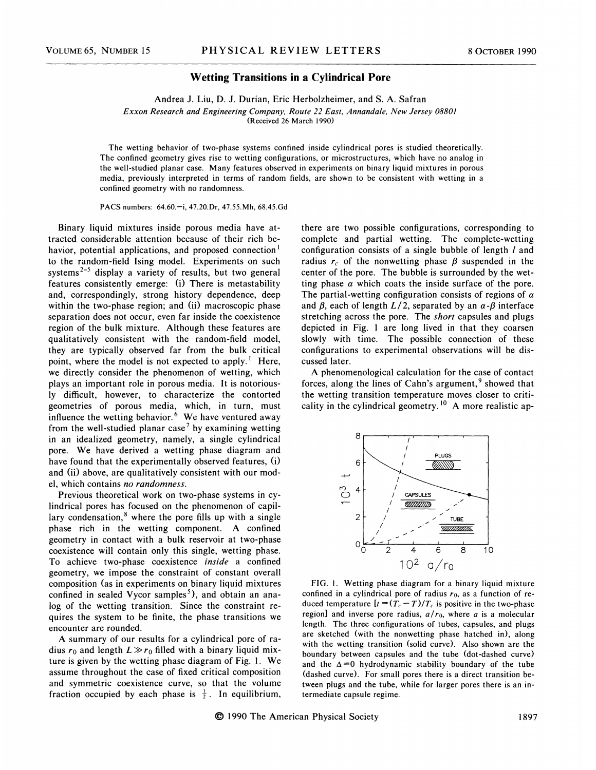#### Wetting Transitions in a Cylindrical Pore

Andrea J. Liu, D. 3. Durian, Eric Herbolzheimer, and S. A. Safran Exxon Research and Engineering Company, Route 22 East, Annandale, New Jersey 08801 (Received 26 March 1990)

The wetting behavior of two-phase systems confined inside cylindrical pores is studied theoretically. The confined geometry gives rise to wetting configurations, or microstructures, which have no analog in the well-studied planar case. Many features observed in experiments on binary liquid mixtures in porous media, previously interpreted in terms of random fields, are shown to be consistent with wetting in a confined geometry with no randomness.

PACS numbers: 64.60.—i, 47.20.Dr, 47.55.Mh, 68.45.6d

Binary liquid mixtures inside porous media have attracted considerable attention because of their rich behavior, potential applications, and proposed connection<sup>1</sup> to the random-field Ising model. Experiments on such systems<sup>2-5</sup> display a variety of results, but two general features consistently emerge: (i) There is metastability and, correspondingly, strong history dependence, deep within the two-phase region; and (ii) macroscopic phase separation does not occur, even far inside the coexistence region of the bulk mixture. Although these features are qualitatively consistent with the random-field model, they are typically observed far from the bulk critical point, where the model is not expected to apply.<sup>1</sup> Here, we directly consider the phenomenon of wetting, which plays an important role in porous media. It is notoriously difficult, however, to characterize the contorted geometries of porous media, which, in turn, mus influence the wetting behavior.<sup>6</sup> We have ventured away from the well-studied planar case<sup>7</sup> by examining wetting in an idealized geometry, namely, a single cylindrical pore. We have derived a wetting phase diagram and have found that the experimentally observed features, (i) and (ii) above, are qualitatively consistent with our model, which contains no randomness

Previous theoretical work on two-phase systems in cylindrical pores has focused on the phenomenon of capillary condensation, $<sup>8</sup>$  where the pore fills up with a single</sup> phase rich in the wetting component. A confined geometry in contact with a bulk reservoir at two-phase coexistence will contain only this single, wetting phase. To achieve two-phase coexistence inside a confined geometry, we impose the constraint of constant overall composition (as in experiments on binary liquid mixtures confined in sealed Vycor samples<sup>5</sup>), and obtain an analog of the wetting transition. Since the constraint requires the system to be finite, the phase transitions we encounter are rounded.

A summary of our results for a cylindrical pore of radius  $r_0$  and length  $L \gg r_0$  filled with a binary liquid mixture is given by the wetting phase diagram of Fig. 1. We assume throughout the case of fixed critical composition and symmetric coexistence curve, so that the volume fraction occupied by each phase is  $\frac{1}{2}$ . In equilibriur

there are two possible configurations, corresponding to complete and partial wetting. The complete-wetting configuration consists of a single bubble of length *l* and radius  $r_c$  of the nonwetting phase  $\beta$  suspended in the center of the pore. The bubble is surrounded by the wetting phase  $\alpha$  which coats the inside surface of the pore. The partial-wetting configuration consists of regions of  $\alpha$ and  $\beta$ , each of length  $L/2$ , separated by an  $\alpha$ - $\beta$  interface stretching across the pore. The short capsules and plugs depicted in Fig. <sup>1</sup> are long lived in that they coarsen slowly with time. The possible connection of these configurations to experimental observations will be discussed later.

A phenomenological calculation for the case of contact forces, along the lines of Cahn's argument,  $9$  showed that the wetting transition temperature moves closer to criticality in the cylindrical geometry.<sup>10</sup> A more realistic ap-



FIG. 1. Wetting phase diagram for a binary liquid mixture confined in a cylindrical pore of radius  $r_0$ , as a function of reduced temperature  $[t = (T_c - T)/T_c]$  is positive in the two-phase region] and inverse pore radius,  $a/r_0$ , where a is a molecular length. The three configurations of tubes, capsules, and plugs are sketched (with the nonwetting phase hatched in), along with the wetting transition (solid curve). Also shown are the boundary between capsules and the tube (dot-dashed curve) and the  $\Delta = 0$  hydrodynamic stability boundary of the tube (dashed curve). For small pores there is a direct transition between plugs and the tube, while for larger pores there is an intermediate capsule regime.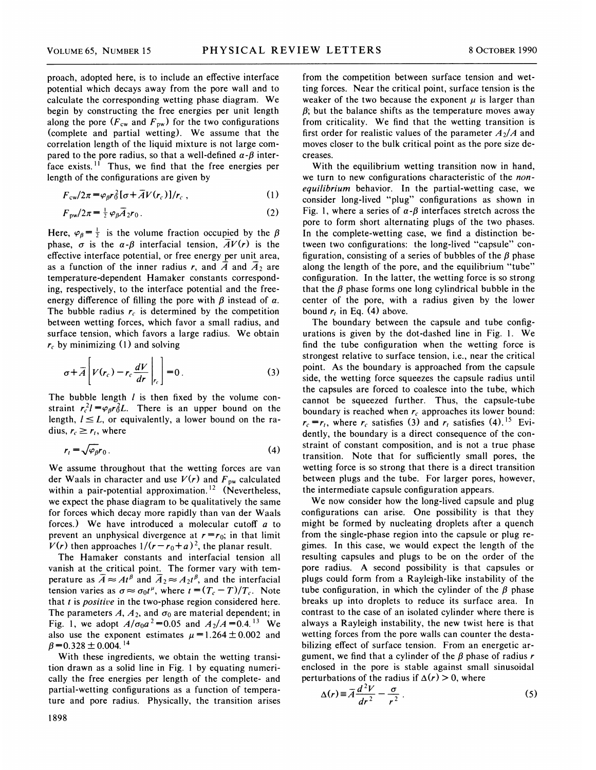proach, adopted here, is to include an effective interface potential which decays away from the pore wall and to calculate the corresponding wetting phase diagram. We begin by constructing the free energies per unit length along the pore  $(F_{cw}$  and  $F_{pw}$ ) for the two configurations (complete and partial wetting). We assume that the correlation length of the liquid mixture is not large compared to the pore radius, so that a well-defined  $\alpha$ - $\beta$  interface exists.<sup> $1\overline{1}$ </sup> Thus, we find that the free energies per length of the configurations are given by

$$
F_{\rm cw}/2\pi = \varphi_{\beta} r_0^2 [\sigma + \overline{A}V(r_c)]/r_c , \qquad (1)
$$

$$
F_{\text{pw}}/2\pi = \frac{1}{2} \varphi_{\beta} \overline{A}_2 r_0 \,. \tag{2}
$$

Here,  $\varphi_{\beta} = \frac{1}{2}$  is the volume fraction occupied by the  $\beta$ phase,  $\sigma$  is the  $\alpha$ - $\beta$  interfacial tension,  $\overline{A}V(r)$  is the effective interface potential, or free energy per unit area, as a function of the inner radius r, and  $\overline{A}$  and  $\overline{A}_2$  are temperature-dependent Hamaker constants corresponding, respectively, to the interface potential and the freeenergy difference of filling the pore with  $\beta$  instead of  $\alpha$ . The bubble radius  $r_c$  is determined by the competition between wetting forces, which favor a small radius, and surface tension, which favors a large radius. We obtain  $r_c$  by minimizing (1) and solving

$$
\sigma + \overline{A} \left[ V(r_c) - r_c \frac{dV}{dr} \bigg|_{r_c} \right] = 0. \tag{3}
$$

The bubble length  $l$  is then fixed by the volume constraint  $r_c^2 l = \varphi_0 r_0^2 L$ . There is an upper bound on the length,  $l \leq L$ , or equivalently, a lower bound on the radius,  $r_c \ge r_i$ , where

$$
r_t = \sqrt{\varphi_\beta} r_0 \,. \tag{4}
$$

We assume throughout that the wetting forces are van der Waals in character and use  $V(r)$  and  $F_{\text{pw}}$  calculated within a pair-potential approximation.<sup>12</sup> (Nevertheles we expect the phase diagram to be qualitatively the same for forces which decay more rapidly than van der Waals forces.) We have introduced a molecular cutoff  $a$  to prevent an unphysical divergence at  $r = r_0$ ; in that limit  $V(r)$  then approaches  $1/(r - r_0 + a)^2$ , the planar result.

The Hamaker constants and interfacial tension all vanish at the critical point. The former vary with temperature as  $\overline{A} \approx At^{\beta}$  and  $\overline{A}_2 \approx A_2 t^{\beta}$ , and the interfacial tension varies as  $\sigma \approx \sigma_0 t^{\mu}$ , where  $t = (T_c-T)/T_c$ . Note that  $t$  is *positive* in the two-phase region considered here. The parameters A,  $A_2$ , and  $\sigma_0$  are material dependent; in Fig. 1, we adopt  $A/\sigma_0 a^2 = 0.05$  and  $A_2/A = 0.4$ .<sup>13</sup> We also use the exponent estimates  $\mu = 1.264 \pm 0.002$  and  $\beta$  = 0.328  $\pm$  0.004.<sup>14</sup>

With these ingredients, we obtain the wetting transition drawn as a solid line in Fig. <sup>1</sup> by equating numerically the free energies per length of the complete- and partial-wetting configurations as a function of temperature and pore radius. Physically, the transition arises from the competition between surface tension and wetting forces. Near the critical point, surface tension is the weaker of the two because the exponent  $\mu$  is larger than  $\beta$ ; but the balance shifts as the temperature moves away from criticality. We find that the wetting transition is first order for realistic values of the parameter  $A_2/A$  and moves closer to the bulk critical point as the pore size decreases.

With the equilibrium wetting transition now in hand, we turn to new configurations characteristic of the *non*equilibrium behavior. In the partial-wetting case, we consider long-lived "plug" configurations as shown in Fig. 1, where a series of  $\alpha$ - $\beta$  interfaces stretch across the pore to form short alternating plugs of the two phases. In the complete-wetting case, we find a distinction between two configurations: the long-lived "capsule" configuration, consisting of a series of bubbles of the  $\beta$  phase along the length of the pore, and the equilibrium "tube" configuration. In the latter, the wetting force is so strong that the  $\beta$  phase forms one long cylindrical bubble in the center of the pore, with a radius given by the lower bound  $r_t$  in Eq. (4) above.

The boundary between the capsule and tube configurations is given by the dot-dashed line in Fig. 1. We find the tube configuration when the wetting force is strongest relative to surface tension, i.e., near the critical point. As the boundary is approached from the capsule side, the wetting force squeezes the capsule radius until the capsules are forced to coalesce into the tube, which cannot be squeezed further. Thus, the capsule-tube boundary is reached when  $r_c$  approaches its lower bound:  $r_c = r_t$ , where  $r_c$  satisfies (3) and  $r_t$  satisfies (4).<sup>15</sup> Evidently, the boundary is a direct consequence of the constraint of constant composition, and is not a true phase transition. Note that for sufficiently small pores, the wetting force is so strong that there is a direct transition between plugs and the tube. For larger pores, however, the intermediate capsule configuration appears.

We now consider how the long-lived capsule and plug configurations can arise. One possibility is that they might be formed by nucleating droplets after a quench from the single-phase region into the capsule or plug regimes. In this case, we would expect the length of the resulting capsules and plugs to be on the order of the pore radius. A second possibility is that capsules or plugs could form from a Rayleigh-like instability of the tube configuration, in which the cylinder of the  $\beta$  phase breaks up into droplets to reduce its surface area. In contrast to the case of an isolated cylinder where there is always a Rayleigh instability, the new twist here is that wetting forces from the pore walls can counter the destabilizing effect of surface tension. From an energetic argument, we find that a cylinder of the  $\beta$  phase of radius r enclosed in the pore is stable against small sinusoids<br>perturbations of the radius if  $\Delta(r) > 0$ , where

$$
\Delta(r) \equiv \overline{A} \frac{d^2 V}{dr^2} - \frac{\sigma}{r^2} \,. \tag{5}
$$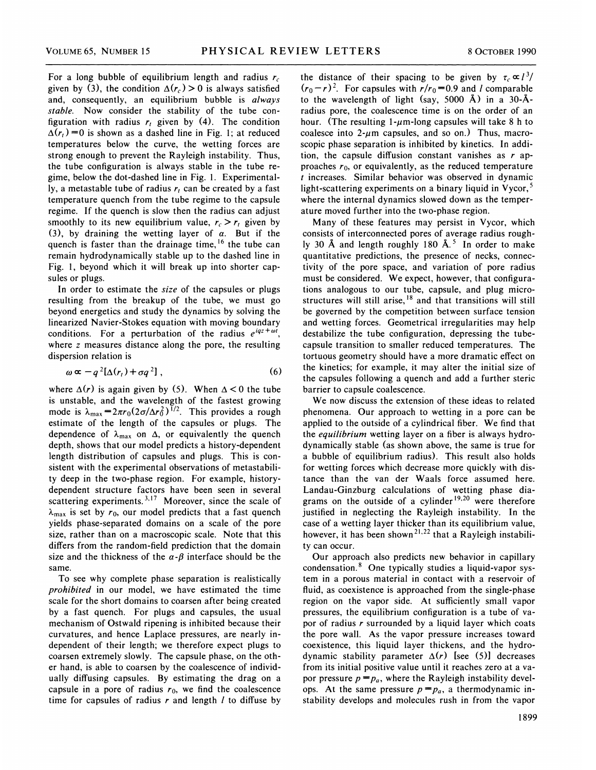For a long bubble of equilibrium length and radius  $r_c$ given by (3), the condition  $\Delta(r_c) > 0$  is always satisfied and, consequently, an equilibrium bubble is always stable. Now consider the stability of the tube configuration with radius  $r_t$  given by (4). The condition  $\Delta(r_i)$  =0 is shown as a dashed line in Fig. 1; at reduced temperatures below the curve, the wetting forces are strong enough to prevent the Rayleigh instability. Thus, the tube configuration is always stable in the tube regime, below the dot-dashed line in Fig. l. Experimentally, a metastable tube of radius  $r_i$  can be created by a fast temperature quench from the tube regime to the capsule regime. If the quench is slow then the radius can adjust smoothly to its new equilibrium value,  $r_c > r_t$  given by (3), by draining the wetting layer of  $\alpha$ . But if the quench is faster than the drainage time, <sup>16</sup> the tube car remain hydrodynamically stable up to the dashed line in Fig. 1, beyond which it will break up into shorter capsules or plugs.

In order to estimate the size of the capsules or plugs resulting from the breakup of the tube, we must go beyond energetics and study the dynamics by solving the linearized Navier-Stokes equation with moving boundary conditions. For a perturbation of the radius  $e^{iqz + \omega t}$ , where z measures distance along the pore, the resulting dispersion relation is

$$
\omega \propto -q^2[\Delta(r_t) + \sigma q^2], \qquad (6)
$$

where  $\Delta(r)$  is again given by (5). When  $\Delta < 0$  the tube is unstable, and the wavelength of the fastest growing mode is  $\lambda_{\text{max}} = 2\pi r_0(2\sigma/\Delta r_0^2)^{1/2}$ . This provides a rough estimate of the length of the capsules or plugs. The dependence of  $\lambda_{\text{max}}$  on  $\Delta$ , or equivalently the quench depth, shows that our model predicts a history-dependent length distribution of capsules and plugs. This is consistent with the experimental observations of metastability deep in the two-phase region. For example, historydependent structure factors have been seen in severa scattering experiments.<sup>3,17</sup> Moreover, since the scale of  $\lambda_{\text{max}}$  is set by  $r_0$ , our model predicts that a fast quench yields phase-separated domains on a scale of the pore size, rather than on a macroscopic scale. Note that this differs from the random-field prediction that the domain size and the thickness of the  $\alpha$ - $\beta$  interface should be the same.

To see why complete phase separation is realistically prohibited in our model, we have estimated the time scale for the short domains to coarsen after being created by a fast quench. For plugs and capsules, the usual mechanism of Ostwald ripening is inhibited because their curvatures, and hence Laplace pressures, are nearly independent of their length; we therefore expect plugs to coarsen extremely slowly. The capsule phase, on the other hand, is able to coarsen by the coalescence of individually diffusing capsules. By estimating the drag on a capsule in a pore of radius  $r_0$ , we find the coalescence time for capsules of radius  $r$  and length  $l$  to diffuse by the distance of their spacing to be given by  $\tau_c \propto l^3/$  $(r_0-r)^2$ . For capsules with  $r/r_0=0.9$  and l comparable to the wavelength of light (say, 5000 A) in a 30-Aradius pore, the coalescence time is on the order of an hour. (The resulting  $1-\mu$ m-long capsules will take 8 h to coalesce into  $2-\mu m$  capsules, and so on.) Thus, macroscopic phase separation is inhibited by kinetics. In addition, the capsule diffusion constant vanishes as  $r$  approaches  $r_0$ , or equivalently, as the reduced temperature t increases. Similar behavior was observed in dynamic light-scattering experiments on a binary liquid in Vycor,<sup>5</sup> where the internal dynamics slowed down as the temperature moved further into the two-phase region.

Many of these features may persist in Vycor, which consists of interconnected pores of average radius roughly 30 Å and length roughly 180 Å.<sup>5</sup> In order to make quantitative predictions, the presence of necks, connectivity of the pore space, and variation of pore radius must be considered. We expect, however, that configurations analogous to our tube, capsule, and plug microstructures will still arise, <sup>18</sup> and that transitions will stil be governed by the competition between surface tension and wetting forces. Geometrical irregularities may help destabilize the tube configuration, depressing the tubecapsule transition to smaller reduced temperatures. The tortuous geometry should have a more dramatic effect on the kinetics; for example, it may alter the initial size of the capsules following a quench and add a further steric barrier to capsule coalescence.

We now discuss the extension of these ideas to related phenomena. Our approach to wetting in a pore can be applied to the outside of a cylindrical fiber. We find that the equilibrium wetting layer on a fiber is always hydrodynamically stable (as shown above, the same is true for a bubble of equilibrium radius). This result also holds for wetting forces which decrease more quickly with distance than the van der Waals force assumed here. Landau-Ginzburg calculations of wetting phase diagrams on the outside of a cylinder<sup>19,20</sup> were therefore justified in neglecting the Rayleigh instability. In the case of a wetting layer thicker than its equilibrium value however, it has been shown<sup>21,22</sup> that a Rayleigh instabili ty can occur.

Our approach also predicts new behavior in capillary condensation. $8$  One typically studies a liquid-vapor system in a porous material in contact with a reservoir of fluid, as coexistence is approached from the single-phase region on the vapor side. At sufficiently small vapor pressures, the equilibrium configuration is a tube of vapor of radius  $r$  surrounded by a liquid layer which coats the pore wall. As the vapor pressure increases toward coexistence, this liquid layer thickens, and the hydrodynamic stability parameter  $\Delta(r)$  [see (5)] decreases from its initial positive value until it reaches zero at a vapor pressure  $p = p_a$ , where the Rayleigh instability develops. At the same pressure  $p = p_a$ , a thermodynamic instability develops and molecules rush in from the vapor